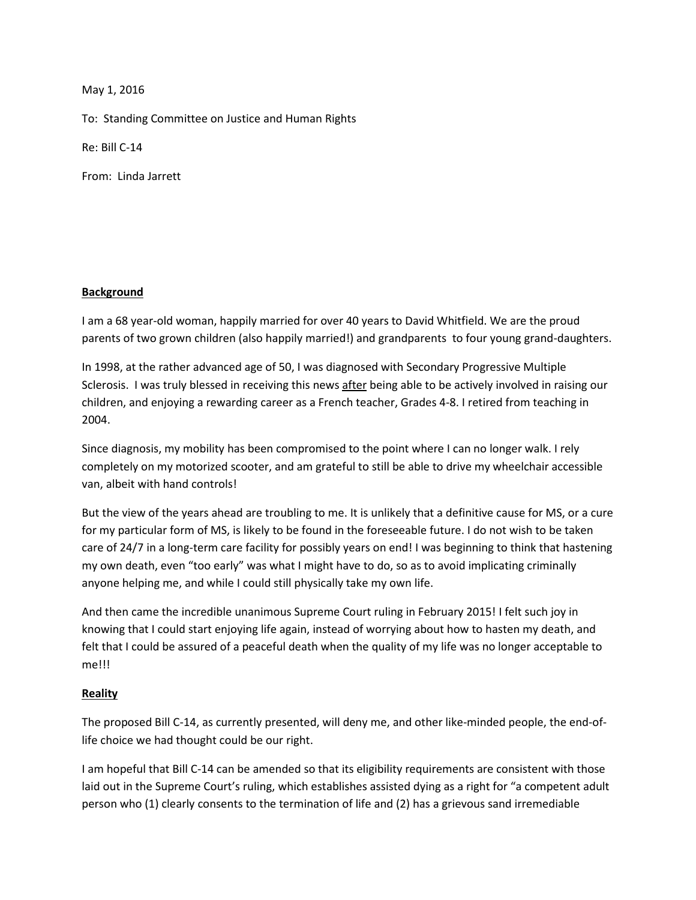May 1, 2016

To: Standing Committee on Justice and Human Rights

Re: Bill C-14

From: Linda Jarrett

## **Background**

I am a 68 year-old woman, happily married for over 40 years to David Whitfield. We are the proud parents of two grown children (also happily married!) and grandparents to four young grand-daughters.

In 1998, at the rather advanced age of 50, I was diagnosed with Secondary Progressive Multiple Sclerosis. I was truly blessed in receiving this news after being able to be actively involved in raising our children, and enjoying a rewarding career as a French teacher, Grades 4-8. I retired from teaching in 2004.

Since diagnosis, my mobility has been compromised to the point where I can no longer walk. I rely completely on my motorized scooter, and am grateful to still be able to drive my wheelchair accessible van, albeit with hand controls!

But the view of the years ahead are troubling to me. It is unlikely that a definitive cause for MS, or a cure for my particular form of MS, is likely to be found in the foreseeable future. I do not wish to be taken care of 24/7 in a long-term care facility for possibly years on end! I was beginning to think that hastening my own death, even "too early" was what I might have to do, so as to avoid implicating criminally anyone helping me, and while I could still physically take my own life.

And then came the incredible unanimous Supreme Court ruling in February 2015! I felt such joy in knowing that I could start enjoying life again, instead of worrying about how to hasten my death, and felt that I could be assured of a peaceful death when the quality of my life was no longer acceptable to me!!!

## **Reality**

The proposed Bill C-14, as currently presented, will deny me, and other like-minded people, the end-oflife choice we had thought could be our right.

I am hopeful that Bill C-14 can be amended so that its eligibility requirements are consistent with those laid out in the Supreme Court's ruling, which establishes assisted dying as a right for "a competent adult person who (1) clearly consents to the termination of life and (2) has a grievous sand irremediable